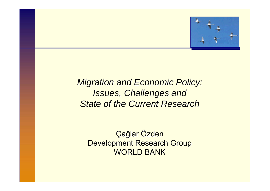

# *Migration and Economic Policy: Migration and Economic Policy:* **Issues, Challenges and** *State of the Current Research State of the Current Research*

Ç a ğlar Õzden Development Research Group WORLD BANK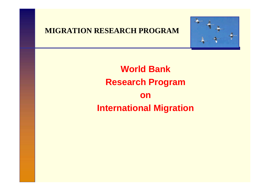#### **MIGRATION RESEARCH PROGRAM**



# **World BankResearch Program on International Migration**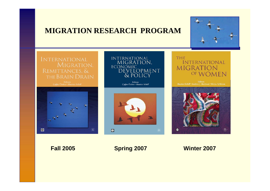#### **MIGRATION RESEARCH PROGRAM**





**Fall 2005 Spring 2007 Winter 2007**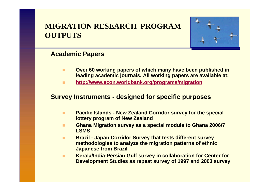## **MIGRATION RESEARCH PROGRAMOUTPUTS**



#### **Academic Papers**

- $\blacksquare$  **Over 60 working papers of which many have been published in leading academic journals. All working papers are available at:**
- $\blacksquare$ **http://www.econ.worldbank.org/programs/migration**

#### **Survey Instruments - designed for specific purposes**

- $\mathbf{r}$  **Pacific Islands - New Zealand Corridor survey for the special lottery program of New Zealand**
- **Tale Ghana Migration survey as a special module to Ghana 2006/7 LSMS**
- $\blacksquare$  **Brazil - Japan Corridor Survey that tests different survey methodologies to analyze the migration patterns of ethnic Japanese from Brazil**
- ш **Kerala/India-Persian Gulf survey in collaboration for Center for Development Studies as repeat survey of 1997 and 2003 survey**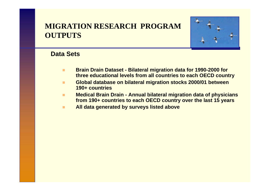## **MIGRATION RESEARCH PROGRAMOUTPUTS**



#### **Data Sets**

- $\blacksquare$  **Brain Drain Dataset - Bilateral migration data for 1990-2000 for three educational levels from all countries to each OECD country**
- $\blacksquare$  **Global database on bilateral migration stocks 2000/01 between 190+ countries**
- $\mathbf{r}$  **Medical Brain Drain - Annual bilateral migration data of physicians from 190+ countries to each OECD country over the last 15 years**
- m. **All data generated by surveys listed above**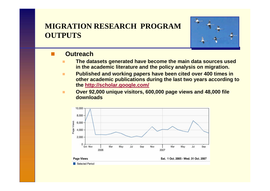## **MIGRATION RESEARCH PROGRAMOUTPUTS**



#### **Outreach**

- $\blacksquare$  **The datasets generated have become the main data sources used in the academic literature and the policy analysis on migration.**
- $\blacksquare$  **Published and working papers have been cited over 400 times in other academic publications during the last two years according to the http://scholar.google.com/**
- п **Over 92,000 unique visitors, 600,000 page views and 48,000 file downloads**

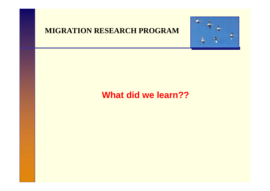#### **MIGRATION RESEARCH PROGRAM**



## **What did we learn??**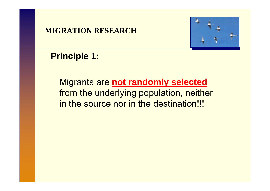

## **Principle 1:**

Migrants are **not randomly selected** from the underlying population, neither in the source nor in the destination!!!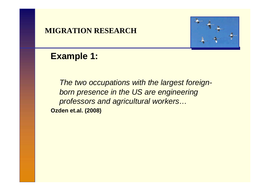

## **Example 1:**

*The two occupations with the largest foreignborn presence in the US are engineering professors and agricultural workers…* **Ozden et.al. (2008)**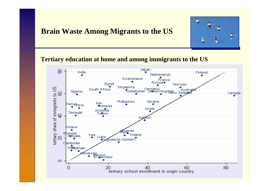#### **Brain Waste Among Migrants to the US**



**Tertiary education at home and among immigrants to the US**

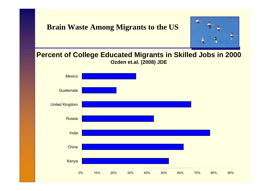#### **Brain Waste Among Migrants to the US**



#### **Percent of College Educated Migrants in Skilled Jobs in 2000 Ozden et.al. (2008) JDE**

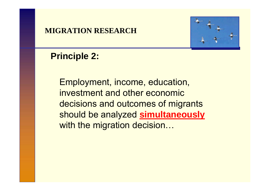

## **Principle 2:**

Employment, income, education, investment and other economic decisions and outcomes of migrants should be analyzed **simultaneously** with the migration decision...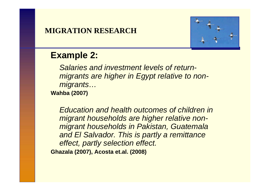

## **Example 2:**

*Salaries and investment levels of returnmigrants are higher in Egypt relative to nonmigrants…* **Wahba (2007)**

*Education and health outcomes of children in migrant households are higher relative nonmigrant households in Pakistan, Guatemala and El Salvador. This is partly a remittance effect, partly selection effect.*  **Ghazala (2007), Acosta et.al. (2008)**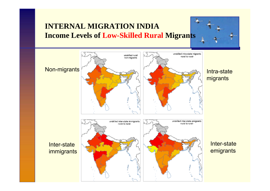## **INTERNAL MIGRATION INDIAIncome Levels of Low-Skilled Rural Migrants**



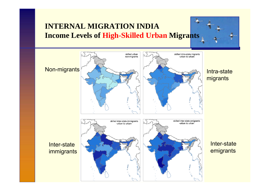## **INTERNAL MIGRATION INDIAIncome Levels of High-Skilled Urban Migrants**

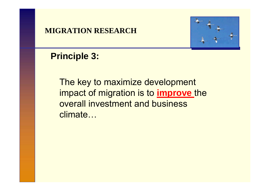

## **Principle 3:**

The key to maximize development impact of migration is to **improve** the overall investment and business climate…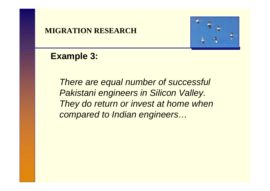

## **Example 3:**

*There are equal number of successful Pakistani engineers in Silicon Valley. They do return or invest at home when compared to Indian engineers…*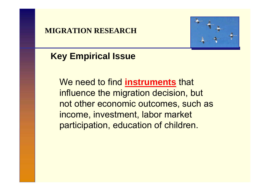

## **Key Empirical Issue**

We need to find **instruments** that influence the migration decision, but not other economic outcomes, such as income, investment, labor market participation, education of children.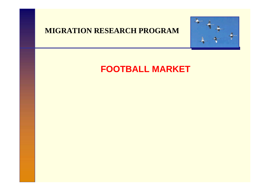#### **MIGRATION RESEARCH PROGRAM**



## **FOOTBALL MARKET**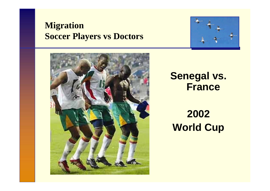## **Migration Soccer Players vs Doctors**





# **Senegal vs. France**

# **2002 World Cup**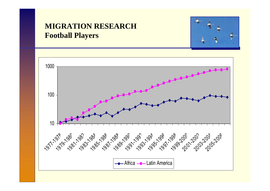### **MIGRATION RESEARCH Football Players**



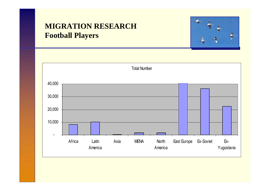## **MIGRATION RESEARCH Football Players**



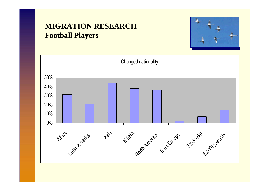### **MIGRATION RESEARCH Football Players**



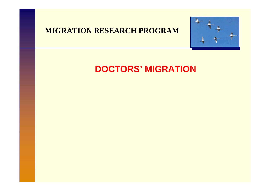#### **MIGRATION RESEARCH PROGRAM**



# **DOCTORS' MIGRATION**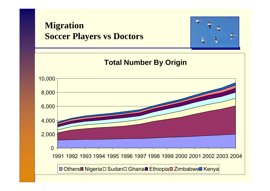# **Migration Soccer Players vs Doctors**



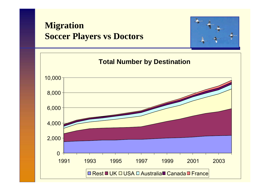## **Migration Soccer Players vs Doctors**



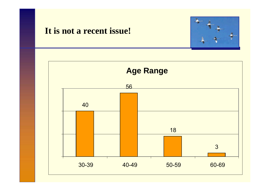## **It is not a recent issue!**



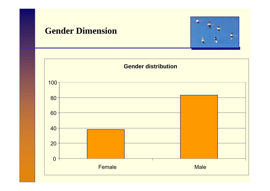## **Gender Dimension**



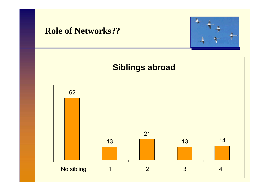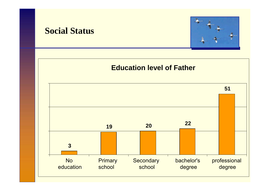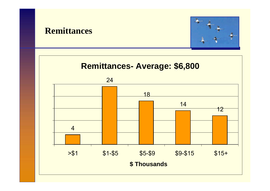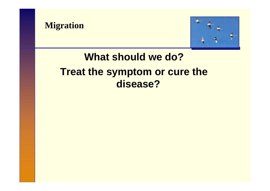



# **What should we do?Treat the symptom or cure the disease?**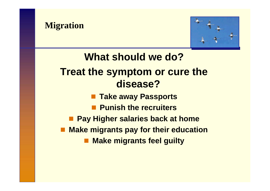



**What should we do?Treat the symptom or cure the disease? Take away Passports** ■ Punish the recruiters **■ Pay Higher salaries back at home Make migrants pay for their education Make migrants feel guilty**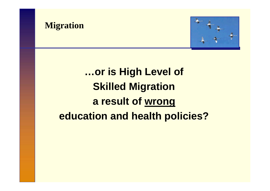



# **…or is High Level of Skilled Migration a result of wrong education and health policies?**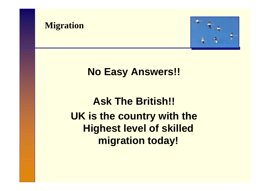



# **No Easy Answers!!**

# **Ask The British!! UK is the country with the Highest level of skilled migration today!**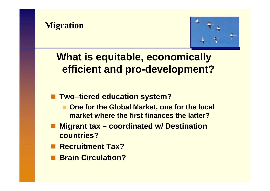



# **What is equitable, economically efficient and pro-development?**

- **Two–tiered education system?** 
	- $\mathcal{L}$  **One for the Global Market, one for the local market where the first finances the latter?**
- Migrant tax coordinated w/ Destination **countries?**
- Recruitment Tax?
- **Brain Circulation?**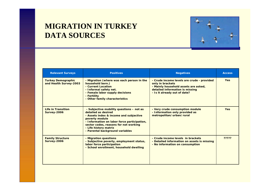### **MIGRATION IN TURKEY DATA SOURCES**



| <b>Relevant Surveys</b>                             | <b>Positives</b>                                                                                                                                                                                                                                                                | <b>Negatives</b>                                                                                                                                                          | <b>Access</b> |
|-----------------------------------------------------|---------------------------------------------------------------------------------------------------------------------------------------------------------------------------------------------------------------------------------------------------------------------------------|---------------------------------------------------------------------------------------------------------------------------------------------------------------------------|---------------|
| <b>Turkey Demographic</b><br>and Health Survey-2003 | - Migration (where was each person in the<br>household born.)<br>- Current Location<br>- Informal safety net.<br>- Female labor supply decisions<br>- Fertility<br>- Other family characteristics                                                                               | - Crude income levels are crude - provided<br>only in brackets<br>- Mainly household assets are asked,<br>detailed information is missing<br>- Is it already out of date? | <b>Yes</b>    |
| <b>Life in Transition</b><br><b>Survey-2006</b>     | - Subjective mobility questions - not as<br>detailed as desired<br>- Assets index & income and subjective<br>poverty module<br>- Information on labor force participation,<br>sector codes, reasons for not working<br>- Life history matrix<br>- Parental background variables | - Very crude consumption module<br>- Information only provided as<br>metropolitan/urban/rural                                                                             | <b>Yes</b>    |
| <b>Family Structure</b><br><b>Survey-2006</b>       | - Migration questions<br>- Subjective poverty, employment status,<br>labor force participation<br>- School enrollment, household dwelling                                                                                                                                       | - Crude income levels in brackets<br>- Detailed information on assets is missing<br>- No information on consumption                                                       | ?????         |